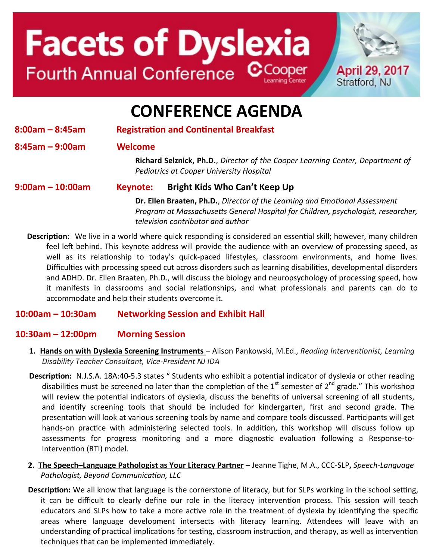# **Facets of Dyslexia** Fourth Annual Conference CCooper



### **CONFERENCE AGENDA**

**8:00am – 8:45am Registration and Continental Breakfast** 

**8:45am – 9:00am Welcome**

**Richard Selznick, Ph.D.**, *Director of the Cooper Learning Center, Department of Pediatrics at Cooper University Hospital*

#### **9:00am – 10:00am Keynote: Bright Kids Who Can't Keep Up**

**Dr. Ellen Braaten, Ph.D.**, *Director of the Learning and Emotional Assessment Program at Massachusetts General Hospital for Children, psychologist, researcher, television contributor and author*

**Description:** We live in a world where quick responding is considered an essential skill; however, many children feel left behind. This keynote address will provide the audience with an overview of processing speed, as well as its relationship to today's quick-paced lifestyles, classroom environments, and home lives. Difficulties with processing speed cut across disorders such as learning disabilities, developmental disorders and ADHD. Dr. Ellen Braaten, Ph.D., will discuss the biology and neuropsychology of processing speed, how it manifests in classrooms and social relationships, and what professionals and parents can do to accommodate and help their students overcome it.

### **10:00am – 10:30am Networking Session and Exhibit Hall**

### **10:30am – 12:00pm Morning Session**

- **1. Hands on with Dyslexia Screening Instruments**  Alison Pankowski, M.Ed., *Reading Interventionist, Learning Disability Teacher Consultant, Vice-President NJ IDA*
- **Description:** N.J.S.A. 18A:40-5.3 states " Students who exhibit a potential indicator of dyslexia or other reading disabilities must be screened no later than the completion of the  $1<sup>st</sup>$  semester of  $2<sup>nd</sup>$  grade." This workshop will review the potential indicators of dyslexia, discuss the benefits of universal screening of all students, and identify screening tools that should be included for kindergarten, first and second grade. The presentation will look at various screening tools by name and compare tools discussed. Participants will get hands-on practice with administering selected tools. In addition, this workshop will discuss follow up assessments for progress monitoring and a more diagnostic evaluation following a Response-to-Intervention (RTI) model.
- **2. The Speech–Language Pathologist as Your Literacy Partner** Jeanne Tighe, M.A., CCC-SLP**,** *Speech-Language Pathologist, Beyond Communication, LLC*
- **Description:** We all know that language is the cornerstone of literacy, but for SLPs working in the school setting, it can be difficult to clearly define our role in the literacy intervention process. This session will teach educators and SLPs how to take a more active role in the treatment of dyslexia by identifying the specific areas where language development intersects with literacy learning. Attendees will leave with an understanding of practical implications for testing, classroom instruction, and therapy, as well as intervention techniques that can be implemented immediately.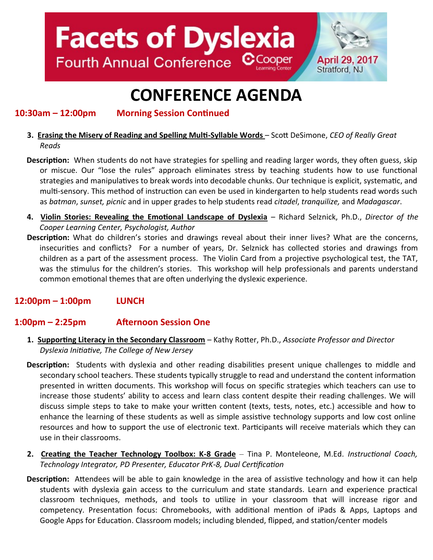## **Facets of Dyslexia** Fourth Annual Conference CCooper



## **CONFERENCE AGENDA**

**10:30am – 12:00pm Morning Session Continued**

- **3. Erasing the Misery of Reading and Spelling Multi-Syllable Words**  Scott DeSimone, *CEO of Really Great Reads*
- **Description:** When students do not have strategies for spelling and reading larger words, they often guess, skip or miscue. Our "lose the rules" approach eliminates stress by teaching students how to use functional strategies and manipulatives to break words into decodable chunks. Our technique is explicit, systematic, and multi-sensory. This method of instruction can even be used in kindergarten to help students read words such as *batman*, *sunset, picnic* and in upper grades to help students read *citadel*, *tranquilize,* and *Madagascar*.
- **4. Violin Stories: Revealing the Emotional Landscape of Dyslexia** Richard Selznick, Ph.D., *Director of the Cooper Learning Center, Psychologist, Author*
- **Description:** What do children's stories and drawings reveal about their inner lives? What are the concerns, insecurities and conflicts? For a number of years, Dr. Selznick has collected stories and drawings from children as a part of the assessment process. The Violin Card from a projective psychological test, the TAT, was the stimulus for the children's stories. This workshop will help professionals and parents understand common emotional themes that are often underlying the dyslexic experience.

### **12:00pm – 1:00pm LUNCH**

### **1:00pm – 2:25pm Afternoon Session One**

- **1. Supporting Literacy in the Secondary Classroom** Kathy Rotter, Ph.D., *Associate Professor and Director Dyslexia Initiative, The College of New Jersey*
- **Description:** Students with dyslexia and other reading disabilities present unique challenges to middle and secondary school teachers. These students typically struggle to read and understand the content information presented in written documents. This workshop will focus on specific strategies which teachers can use to increase those students' ability to access and learn class content despite their reading challenges. We will discuss simple steps to take to make your written content (texts, tests, notes, etc.) accessible and how to enhance the learning of these students as well as simple assistive technology supports and low cost online resources and how to support the use of electronic text. Participants will receive materials which they can use in their classrooms.
- **2. Creating the Teacher Technology Toolbox: K-8 Grade** Tina P. Monteleone, M.Ed. *Instructional Coach, Technology Integrator, PD Presenter, Educator PrK-8, Dual Certification*
- **Description:** Attendees will be able to gain knowledge in the area of assistive technology and how it can help students with dyslexia gain access to the curriculum and state standards. Learn and experience practical classroom techniques, methods, and tools to utilize in your classroom that will increase rigor and competency. Presentation focus: Chromebooks, with additional mention of iPads & Apps, Laptops and Google Apps for Education. Classroom models; including blended, flipped, and station/center models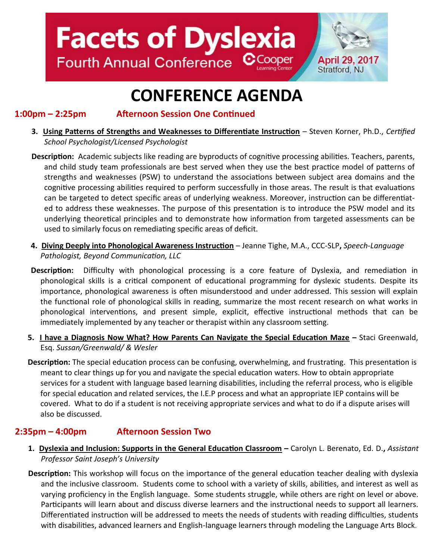

### **CONFERENCE AGENDA**

#### **1:00pm – 2:25pm Afternoon Session One Continued**

- **3. Using Patterns of Strengths and Weaknesses to Differentiate Instruction** Steven Korner, Ph.D., *Certified School Psychologist/Licensed Psychologist*
- **Description:** Academic subjects like reading are byproducts of cognitive processing abilities. Teachers, parents, and child study team professionals are best served when they use the best practice model of patterns of strengths and weaknesses (PSW) to understand the associations between subject area domains and the cognitive processing abilities required to perform successfully in those areas. The result is that evaluations can be targeted to detect specific areas of underlying weakness. Moreover, instruction can be differentiated to address these weaknesses. The purpose of this presentation is to introduce the PSW model and its underlying theoretical principles and to demonstrate how information from targeted assessments can be used to similarly focus on remediating specific areas of deficit.
- **4. Diving Deeply into Phonological Awareness Instruction** Jeanne Tighe, M.A., CCC-SLP**,** *Speech-Language Pathologist, Beyond Communication, LLC*
- **Description:** Difficulty with phonological processing is a core feature of Dyslexia, and remediation in phonological skills is a critical component of educational programming for dyslexic students. Despite its importance, phonological awareness is often misunderstood and under addressed. This session will explain the functional role of phonological skills in reading, summarize the most recent research on what works in phonological interventions, and present simple, explicit, effective instructional methods that can be immediately implemented by any teacher or therapist within any classroom setting.
- **5. I have a Diagnosis Now What? How Parents Can Navigate the Special Education Maze –** Staci Greenwald, Esq. *Sussan/Greenwald/ & Wesler*
- **Description:** The special education process can be confusing, overwhelming, and frustrating. This presentation is meant to clear things up for you and navigate the special education waters. How to obtain appropriate services for a student with language based learning disabilities, including the referral process, who is eligible for special education and related services, the I.E.P process and what an appropriate IEP contains will be covered. What to do if a student is not receiving appropriate services and what to do if a dispute arises will also be discussed.

### **2:35pm – 4:00pm Afternoon Session Two**

- **1. Dyslexia and Inclusion: Supports in the General Education Classroom –** Carolyn L. Berenato, Ed. D.**,** *Assistant Professor Saint Joseph's University*
- **Description:** This workshop will focus on the importance of the general education teacher dealing with dyslexia and the inclusive classroom. Students come to school with a variety of skills, abilities, and interest as well as varying proficiency in the English language. Some students struggle, while others are right on level or above. Participants will learn about and discuss diverse learners and the instructional needs to support all learners. Differentiated instruction will be addressed to meets the needs of students with reading difficulties, students with disabilities, advanced learners and English-language learners through modeling the Language Arts Block.